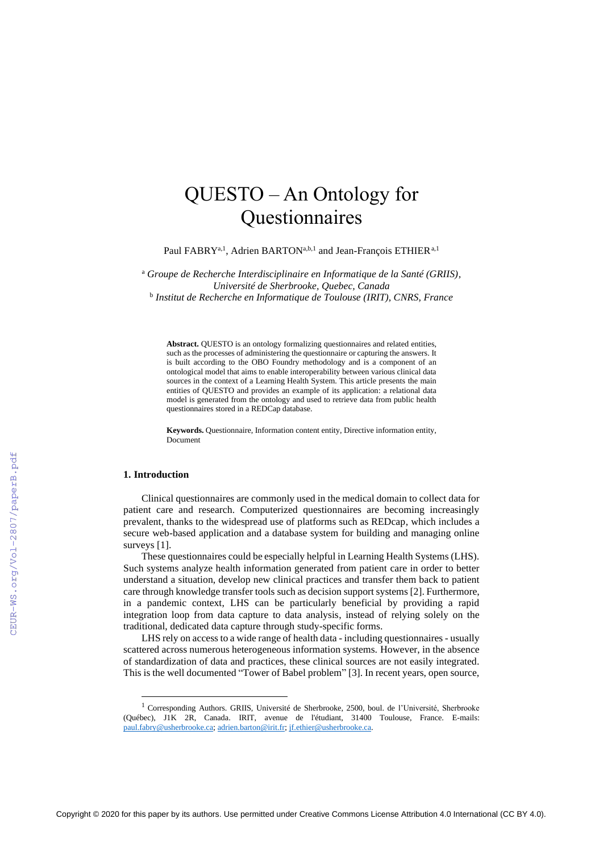# QUESTO – An Ontology for Questionnaires

Paul FABRY<sup>a, 1</sup>, Adrien BARTON<sup>a,b, 1</sup> and Jean-François ETHIER<sup>a, 1</sup>

<sup>a</sup> *Groupe de Recherche Interdisciplinaire en Informatique de la Santé (GRIIS), Université de Sherbrooke, Quebec, Canada* b *Institut de Recherche en Informatique de Toulouse (IRIT), CNRS, France*

**Abstract.** QUESTO is an ontology formalizing questionnaires and related entities, such as the processes of administering the questionnaire or capturing the answers. It is built according to the OBO Foundry methodology and is a component of an ontological model that aims to enable interoperability between various clinical data sources in the context of a Learning Health System. This article presents the main entities of QUESTO and provides an example of its application: a relational data model is generated from the ontology and used to retrieve data from public health questionnaires stored in a REDCap database.

**Keywords.** Questionnaire, Information content entity, Directive information entity, Document

# **1. Introduction**

Clinical questionnaires are commonly used in the medical domain to collect data for patient care and research. Computerized questionnaires are becoming increasingly prevalent, thanks to the widespread use of platforms such as REDcap, which includes a secure web-based application and a database system for building and managing online surveys [1].

These questionnaires could be especially helpful in Learning Health Systems (LHS). Such systems analyze health information generated from patient care in order to better understand a situation, develop new clinical practices and transfer them back to patient care through knowledge transfer tools such as decision support systems [2]. Furthermore, in a pandemic context, LHS can be particularly beneficial by providing a rapid integration loop from data capture to data analysis, instead of relying solely on the traditional, dedicated data capture through study-specific forms.

LHS rely on access to a wide range of health data - including questionnaires - usually scattered across numerous heterogeneous information systems. However, in the absence of standardization of data and practices, these clinical sources are not easily integrated. This is the well documented "Tower of Babel problem" [3]. In recent years, open source,

<sup>&</sup>lt;sup>1</sup> Corresponding Authors. GRIIS, Université de Sherbrooke, 2500, boul. de l'Université, Sherbrooke (Québec), J1K 2R, Canada. IRIT, avenue de l'étudiant, 31400 Toulouse, France. E-mails: [paul.fabry@usherbrooke.ca;](mailto:paul.fabry@usherbrooke.ca) [adrien.barton@irit.fr;](mailto:adrien.barton@irit.fr) [jf.ethier@usherbrooke.ca.](mailto:jf.ethier@usherbrooke.ca)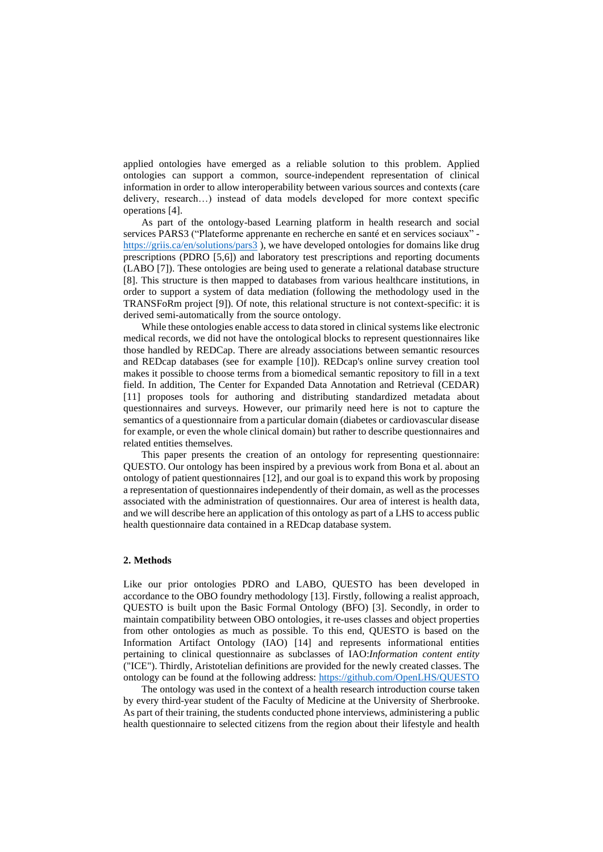applied ontologies have emerged as a reliable solution to this problem. Applied ontologies can support a common, source-independent representation of clinical information in order to allow interoperability between various sources and contexts (care delivery, research…) instead of data models developed for more context specific operations [4].

As part of the ontology-based Learning platform in health research and social services PARS3 ("Plateforme apprenante en recherche en santé et en services sociaux" <https://griis.ca/en/solutions/pars3> ), we have developed ontologies for domains like drug prescriptions (PDRO [5,6]) and laboratory test prescriptions and reporting documents (LABO [7]). These ontologies are being used to generate a relational database structure [8]. This structure is then mapped to databases from various healthcare institutions, in order to support a system of data mediation (following the methodology used in the TRANSFoRm project [9]). Of note, this relational structure is not context-specific: it is derived semi-automatically from the source ontology.

While these ontologies enable access to data stored in clinical systems like electronic medical records, we did not have the ontological blocks to represent questionnaires like those handled by REDCap. There are already associations between semantic resources and REDcap databases (see for example [10]). REDcap's online survey creation tool makes it possible to choose terms from a biomedical semantic repository to fill in a text field. In addition, The Center for Expanded Data Annotation and Retrieval (CEDAR) [11] proposes tools for authoring and distributing standardized metadata about questionnaires and surveys. However, our primarily need here is not to capture the semantics of a questionnaire from a particular domain (diabetes or cardiovascular disease for example, or even the whole clinical domain) but rather to describe questionnaires and related entities themselves.

This paper presents the creation of an ontology for representing questionnaire: QUESTO. Our ontology has been inspired by a previous work from Bona et al. about an ontology of patient questionnaires [12], and our goal is to expand this work by proposing a representation of questionnaires independently of their domain, as well as the processes associated with the administration of questionnaires. Our area of interest is health data, and we will describe here an application of this ontology as part of a LHS to access public health questionnaire data contained in a REDcap database system.

# **2. Methods**

Like our prior ontologies PDRO and LABO, QUESTO has been developed in accordance to the OBO foundry methodology [13]. Firstly, following a realist approach, QUESTO is built upon the Basic Formal Ontology (BFO) [3]. Secondly, in order to maintain compatibility between OBO ontologies, it re-uses classes and object properties from other ontologies as much as possible. To this end, QUESTO is based on the Information Artifact Ontology (IAO) [14] and represents informational entities pertaining to clinical questionnaire as subclasses of IAO:*Information content entity*  ("ICE"). Thirdly, Aristotelian definitions are provided for the newly created classes. The ontology can be found at the following address:<https://github.com/OpenLHS/QUESTO>

The ontology was used in the context of a health research introduction course taken by every third-year student of the Faculty of Medicine at the University of Sherbrooke. As part of their training, the students conducted phone interviews, administering a public health questionnaire to selected citizens from the region about their lifestyle and health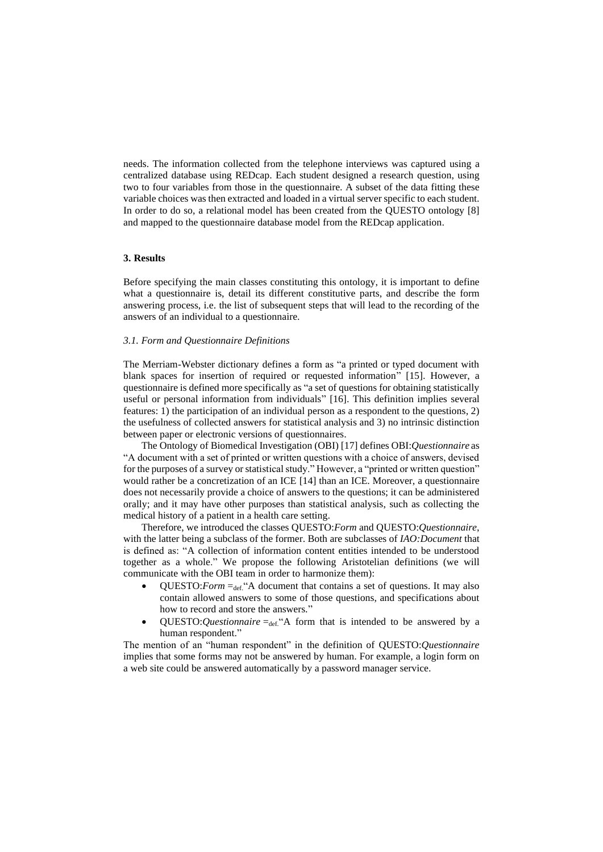needs. The information collected from the telephone interviews was captured using a centralized database using REDcap. Each student designed a research question, using two to four variables from those in the questionnaire. A subset of the data fitting these variable choices was then extracted and loaded in a virtual server specific to each student. In order to do so, a relational model has been created from the QUESTO ontology [8] and mapped to the questionnaire database model from the REDcap application.

# **3. Results**

Before specifying the main classes constituting this ontology, it is important to define what a questionnaire is, detail its different constitutive parts, and describe the form answering process, i.e. the list of subsequent steps that will lead to the recording of the answers of an individual to a questionnaire.

# *3.1. Form and Questionnaire Definitions*

The Merriam-Webster dictionary defines a form as "a printed or typed document with blank spaces for insertion of required or requested information" [15]. However, a questionnaire is defined more specifically as "a set of questions for obtaining statistically useful or personal information from individuals" [16]. This definition implies several features: 1) the participation of an individual person as a respondent to the questions, 2) the usefulness of collected answers for statistical analysis and 3) no intrinsic distinction between paper or electronic versions of questionnaires.

The Ontology of Biomedical Investigation (OBI) [17] defines OBI:*Questionnaire* as "A document with a set of printed or written questions with a choice of answers, devised for the purposes of a survey or statistical study." However, a "printed or written question" would rather be a concretization of an ICE [14] than an ICE. Moreover, a questionnaire does not necessarily provide a choice of answers to the questions; it can be administered orally; and it may have other purposes than statistical analysis, such as collecting the medical history of a patient in a health care setting.

Therefore, we introduced the classes QUESTO:*Form* and QUESTO:*Questionnaire*, with the latter being a subclass of the former. Both are subclasses of *IAO:Document* that is defined as: "A collection of information content entities intended to be understood together as a whole." We propose the following Aristotelian definitions (we will communicate with the OBI team in order to harmonize them):

- QUESTO:*Form*  $=$   $det$ , "A document that contains a set of questions. It may also contain allowed answers to some of those questions, and specifications about how to record and store the answers."
- QUESTO: Questionnaire  $=$ def. "A form that is intended to be answered by a human respondent."

The mention of an "human respondent" in the definition of QUESTO:*Questionnaire* implies that some forms may not be answered by human. For example, a login form on a web site could be answered automatically by a password manager service.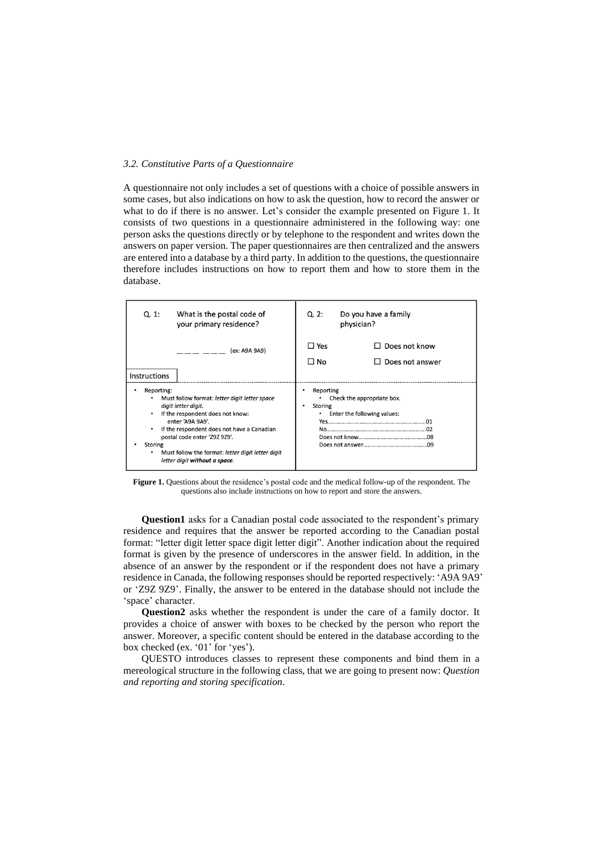### *3.2. Constitutive Parts of a Questionnaire*

A questionnaire not only includes a set of questions with a choice of possible answers in some cases, but also indications on how to ask the question, how to record the answer or what to do if there is no answer. Let's consider the example presented on Figure 1. It consists of two questions in a questionnaire administered in the following way: one person asks the questions directly or by telephone to the respondent and writes down the answers on paper version. The paper questionnaires are then centralized and the answers are entered into a database by a third party. In addition to the questions, the questionnaire therefore includes instructions on how to report them and how to store them in the database.

| Q. 1:                                                                                                                                                                                                                                                                                                                          | What is the postal code of<br>your primary residence? | Q.2:                                                                                   | Do you have a family<br>physician?      |
|--------------------------------------------------------------------------------------------------------------------------------------------------------------------------------------------------------------------------------------------------------------------------------------------------------------------------------|-------------------------------------------------------|----------------------------------------------------------------------------------------|-----------------------------------------|
| <b>Instructions</b>                                                                                                                                                                                                                                                                                                            | (ex: A9A 9A9)                                         | $\Box$ Yes<br>$\Box$ No                                                                | $\Box$ Does not know<br>Does not answer |
| Reporting:<br>Must follow format: letter digit letter space<br>digit letter digit.<br>If the respondent does not know:<br>enter 'A9A 9A9'.<br>If the respondent does not have a Canadian<br>٠<br>postal code enter 'Z9Z 9Z9'.<br>Storing<br>Must follow the format: letter digit letter digit<br>letter digit without a space. |                                                       | Reporting<br>Check the appropriate box.<br>Storing<br>٠<br>Enter the following values: |                                         |

**Figure 1.** Questions about the residence's postal code and the medical follow-up of the respondent. The questions also include instructions on how to report and store the answers.

**Question1** asks for a Canadian postal code associated to the respondent's primary residence and requires that the answer be reported according to the Canadian postal format: "letter digit letter space digit letter digit". Another indication about the required format is given by the presence of underscores in the answer field. In addition, in the absence of an answer by the respondent or if the respondent does not have a primary residence in Canada, the following responses should be reported respectively: 'A9A 9A9' or 'Z9Z 9Z9'. Finally, the answer to be entered in the database should not include the 'space' character.

**Question2** asks whether the respondent is under the care of a family doctor. It provides a choice of answer with boxes to be checked by the person who report the answer. Moreover, a specific content should be entered in the database according to the box checked (ex. '01' for 'yes').

QUESTO introduces classes to represent these components and bind them in a mereological structure in the following class, that we are going to present now: *Question and reporting and storing specification.*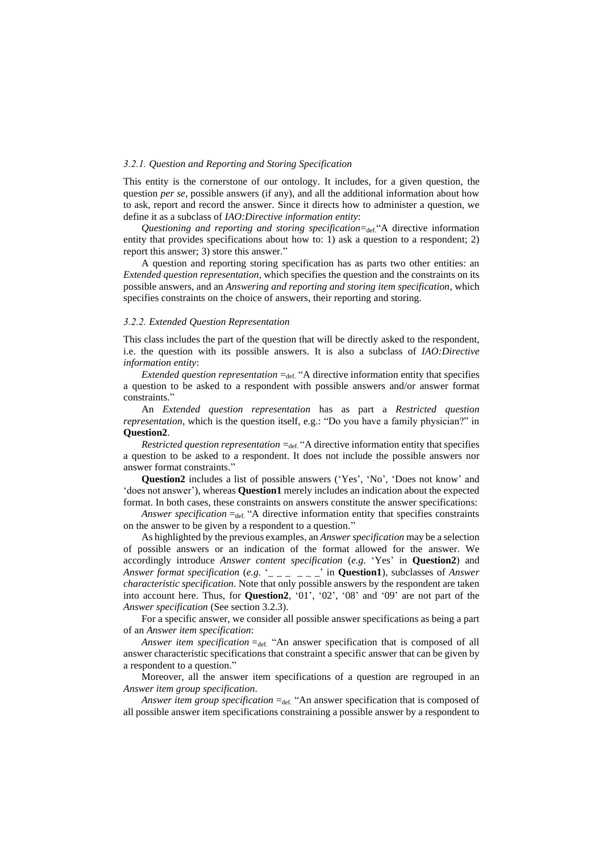#### *3.2.1. Question and Reporting and Storing Specification*

This entity is the cornerstone of our ontology. It includes, for a given question, the question *per se*, possible answers (if any), and all the additional information about how to ask, report and record the answer. Since it directs how to administer a question, we define it as a subclass of *IAO:Directive information entity*:

*Questioning and reporting and storing specification*=def."A directive information entity that provides specifications about how to: 1) ask a question to a respondent; 2) report this answer; 3) store this answer."

A question and reporting storing specification has as parts two other entities: an *Extended question representation*, which specifies the question and the constraints on its possible answers, and an *Answering and reporting and storing item specification*, which specifies constraints on the choice of answers, their reporting and storing.

#### *3.2.2. Extended Question Representation*

This class includes the part of the question that will be directly asked to the respondent, i.e. the question with its possible answers. It is also a subclass of *IAO:Directive information entity*:

*Extended question representation*  $=_{\text{def}}$ . "A directive information entity that specifies a question to be asked to a respondent with possible answers and/or answer format constraints."

An *Extended question representation* has as part a *Restricted question representation*, which is the question itself, e.g.: "Do you have a family physician?" in **Question2**.

*Restricted question representation*  $=_{def}$  "A directive information entity that specifies a question to be asked to a respondent. It does not include the possible answers nor answer format constraints."

**Question2** includes a list of possible answers ('Yes', 'No', 'Does not know' and 'does not answer'), whereas **Question1** merely includes an indication about the expected format. In both cases, these constraints on answers constitute the answer specifications:

*Answer specification*  $=_{def}$  "A directive information entity that specifies constraints on the answer to be given by a respondent to a question."

As highlighted by the previous examples, an *Answer specification* may be a selection of possible answers or an indication of the format allowed for the answer. We accordingly introduce *Answer content specification* (*e.g.* 'Yes' in **Question2**) and *Answer format specification* (*e.g.* '\_ \_ \_ \_ \_ \_' in **Question1**), subclasses of *Answer characteristic specification.* Note that only possible answers by the respondent are taken into account here. Thus, for **Question2**, '01', '02', '08' and '09' are not part of the *Answer specification* (See section 3.2.3).

For a specific answer, we consider all possible answer specifications as being a part of an *Answer item specification*:

*Answer item specification* =def. "An answer specification that is composed of all answer characteristic specifications that constraint a specific answer that can be given by a respondent to a question."

Moreover, all the answer item specifications of a question are regrouped in an *Answer item group specification*.

*Answer item group specification* =def. "An answer specification that is composed of all possible answer item specifications constraining a possible answer by a respondent to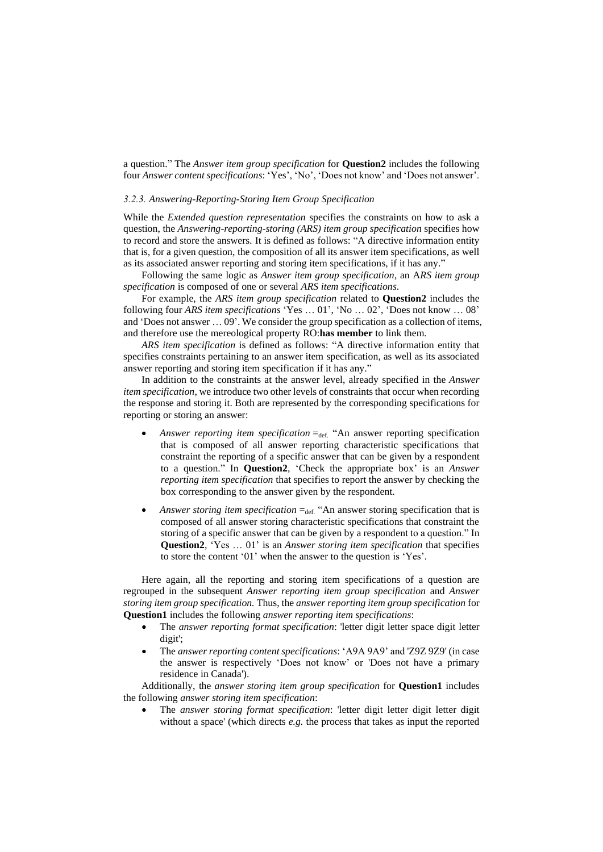a question." The *Answer item group specification* for **Question2** includes the following four *Answer content specifications*: 'Yes', 'No', 'Does not know' and 'Does not answer'.

#### *3.2.3. Answering-Reporting-Storing Item Group Specification*

While the *Extended question representation* specifies the constraints on how to ask a question, the *Answering-reporting-storing (ARS) item group specification* specifies how to record and store the answers*.* It is defined as follows: "A directive information entity that is, for a given question, the composition of all its answer item specifications, as well as its associated answer reporting and storing item specifications, if it has any."

Following the same logic as *Answer item group specification*, an A*RS item group specification* is composed of one or several *ARS item specifications*.

For example, the *ARS item group specification* related to **Question2** includes the following four *ARS item specifications* 'Yes … 01', 'No … 02', 'Does not know … 08' and 'Does not answer … 09'. We consider the group specification as a collection of items, and therefore use the mereological property RO:**has member** to link them*.*

*ARS item specification* is defined as follows: "A directive information entity that specifies constraints pertaining to an answer item specification, as well as its associated answer reporting and storing item specification if it has any."

In addition to the constraints at the answer level, already specified in the *Answer item specification*, we introduce two other levels of constraints that occur when recording the response and storing it. Both are represented by the corresponding specifications for reporting or storing an answer:

- Answer reporting item specification =def. "An answer reporting specification that is composed of all answer reporting characteristic specifications that constraint the reporting of a specific answer that can be given by a respondent to a question." In **Question2**, 'Check the appropriate box' is an *Answer reporting item specification* that specifies to report the answer by checking the box corresponding to the answer given by the respondent.
- Answer storing item specification =def. "An answer storing specification that is composed of all answer storing characteristic specifications that constraint the storing of a specific answer that can be given by a respondent to a question." In **Question2**, 'Yes … 01' is an *Answer storing item specification* that specifies to store the content '01' when the answer to the question is 'Yes'.

Here again, all the reporting and storing item specifications of a question are regrouped in the subsequent *Answer reporting item group specification* and *Answer storing item group specification.* Thus, the *answer reporting item group specification* for **Question1** includes the following *answer reporting item specifications*:

- The *answer reporting format specification*: 'letter digit letter space digit letter digit';
- The *answer reporting content specifications*: 'A9A 9A9' and 'Z9Z 9Z9' (in case the answer is respectively 'Does not know' or 'Does not have a primary residence in Canada').

Additionally, the *answer storing item group specification* for **Question1** includes the following *answer storing item specification*:

• The *answer storing format specification*: 'letter digit letter digit letter digit without a space' (which directs *e.g.* the process that takes as input the reported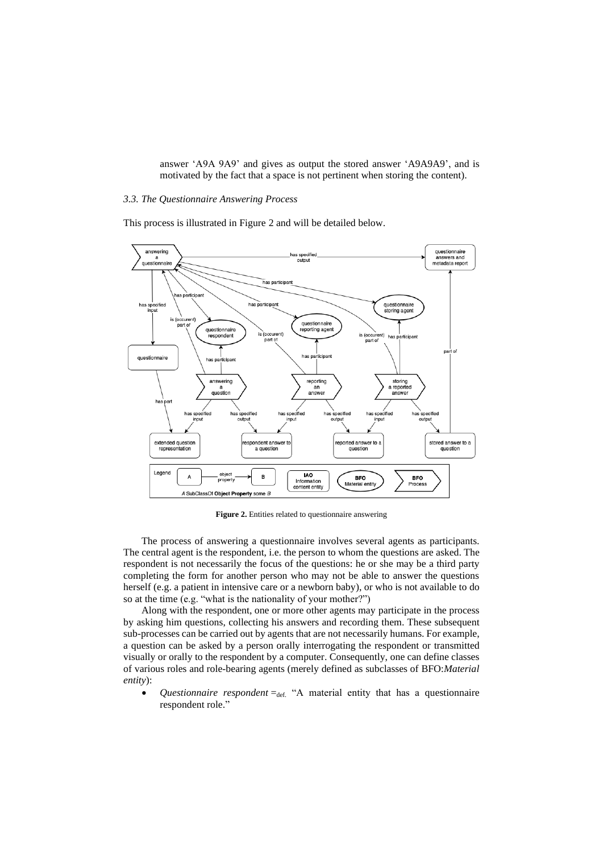answer 'A9A 9A9' and gives as output the stored answer 'A9A9A9', and is motivated by the fact that a space is not pertinent when storing the content).

# *3.3. The Questionnaire Answering Process*

This process is illustrated in Figure 2 and will be detailed below.



**Figure 2.** Entities related to questionnaire answering

The process of answering a questionnaire involves several agents as participants. The central agent is the respondent, i.e. the person to whom the questions are asked. The respondent is not necessarily the focus of the questions: he or she may be a third party completing the form for another person who may not be able to answer the questions herself (e.g. a patient in intensive care or a newborn baby), or who is not available to do so at the time (e.g. "what is the nationality of your mother?")

Along with the respondent, one or more other agents may participate in the process by asking him questions, collecting his answers and recording them. These subsequent sub-processes can be carried out by agents that are not necessarily humans. For example, a question can be asked by a person orally interrogating the respondent or transmitted visually or orally to the respondent by a computer. Consequently, one can define classes of various roles and role-bearing agents (merely defined as subclasses of BFO:*Material entity*):

*Questionnaire respondent*  $=_{def.}$  "A material entity that has a questionnaire respondent role."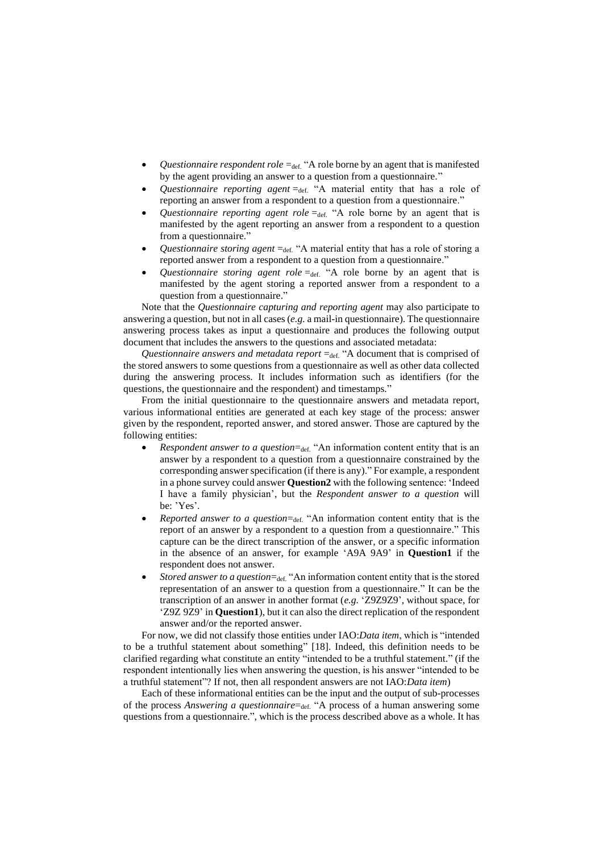- Questionnaire respondent role =def. "A role borne by an agent that is manifested by the agent providing an answer to a question from a questionnaire."
- Questionnaire reporting agent =def. "A material entity that has a role of reporting an answer from a respondent to a question from a questionnaire."
- *Questionnaire reporting agent role*  $=_{def}$  "A role borne by an agent that is manifested by the agent reporting an answer from a respondent to a question from a questionnaire."
- Questionnaire storing agent =def. "A material entity that has a role of storing a reported answer from a respondent to a question from a questionnaire."
- Questionnaire storing agent role =def. "A role borne by an agent that is manifested by the agent storing a reported answer from a respondent to a question from a questionnaire."

Note that the *Questionnaire capturing and reporting agent* may also participate to answering a question, but not in all cases(*e.g.* a mail-in questionnaire). The questionnaire answering process takes as input a questionnaire and produces the following output document that includes the answers to the questions and associated metadata:

Questionnaire answers and metadata report =def. "A document that is comprised of the stored answers to some questions from a questionnaire as well as other data collected during the answering process. It includes information such as identifiers (for the questions, the questionnaire and the respondent) and timestamps."

From the initial questionnaire to the questionnaire answers and metadata report, various informational entities are generated at each key stage of the process: answer given by the respondent, reported answer, and stored answer. Those are captured by the following entities:

- *Respondent answer to a question*=def. "An information content entity that is an answer by a respondent to a question from a questionnaire constrained by the corresponding answer specification (if there is any)." For example, a respondent in a phone survey could answer **Question2** with the following sentence: 'Indeed I have a family physician', but the *Respondent answer to a question* will be: 'Yes'.
- *Reported answer to a question*=def. "An information content entity that is the report of an answer by a respondent to a question from a questionnaire." This capture can be the direct transcription of the answer, or a specific information in the absence of an answer, for example 'A9A 9A9' in **Question1** if the respondent does not answer.
- Stored answer to a question=def. "An information content entity that is the stored representation of an answer to a question from a questionnaire." It can be the transcription of an answer in another format (*e.g.* 'Z9Z9Z9', without space, for 'Z9Z 9Z9' in **Question1**), but it can also the direct replication of the respondent answer and/or the reported answer.

For now, we did not classify those entities under IAO:*Data item*, which is "intended to be a truthful statement about something" [18]. Indeed, this definition needs to be clarified regarding what constitute an entity "intended to be a truthful statement." (if the respondent intentionally lies when answering the question, is his answer "intended to be a truthful statement"? If not, then all respondent answers are not IAO:*Data item*)

Each of these informational entities can be the input and the output of sub-processes of the process *Answering a questionnaire*=def. "A process of a human answering some questions from a questionnaire.", which is the process described above as a whole. It has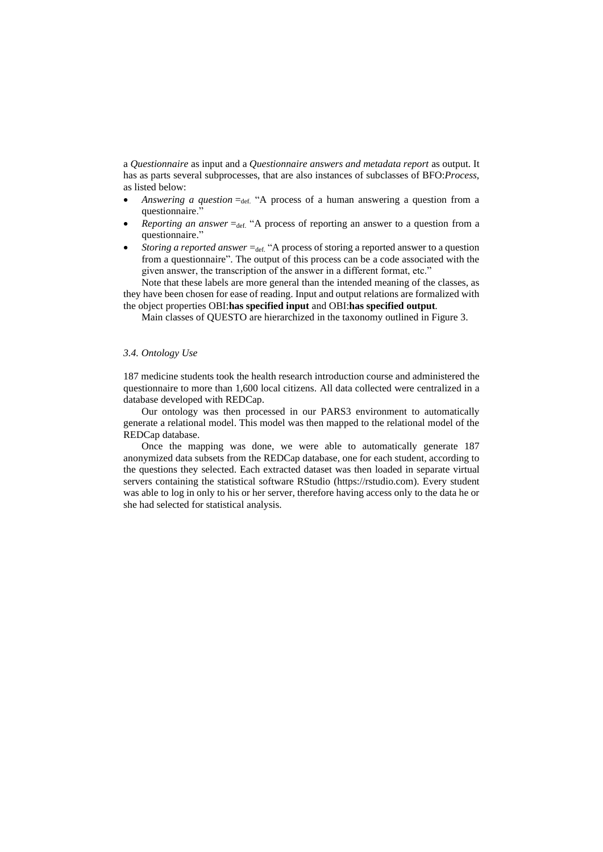a *Questionnaire* as input and a *Questionnaire answers and metadata report* as output. It has as parts several subprocesses, that are also instances of subclasses of BFO:*Process*, as listed below:

- *Answering a question*  $=_{def}$  "A process of a human answering a question from a questionnaire."
- *Reporting an answer* =def. "A process of reporting an answer to a question from a questionnaire."
- *Storing a reported answer* = def. "A process of storing a reported answer to a question from a questionnaire". The output of this process can be a code associated with the given answer, the transcription of the answer in a different format, etc."

Note that these labels are more general than the intended meaning of the classes, as they have been chosen for ease of reading. Input and output relations are formalized with the object properties OBI:**has specified input** and OBI:**has specified output***.*

Main classes of QUESTO are hierarchized in the taxonomy outlined in Figure 3.

# *3.4. Ontology Use*

187 medicine students took the health research introduction course and administered the questionnaire to more than 1,600 local citizens. All data collected were centralized in a database developed with REDCap.

Our ontology was then processed in our PARS3 environment to automatically generate a relational model. This model was then mapped to the relational model of the REDCap database.

Once the mapping was done, we were able to automatically generate 187 anonymized data subsets from the REDCap database, one for each student, according to the questions they selected. Each extracted dataset was then loaded in separate virtual servers containing the statistical software RStudio (https://rstudio.com). Every student was able to log in only to his or her server, therefore having access only to the data he or she had selected for statistical analysis.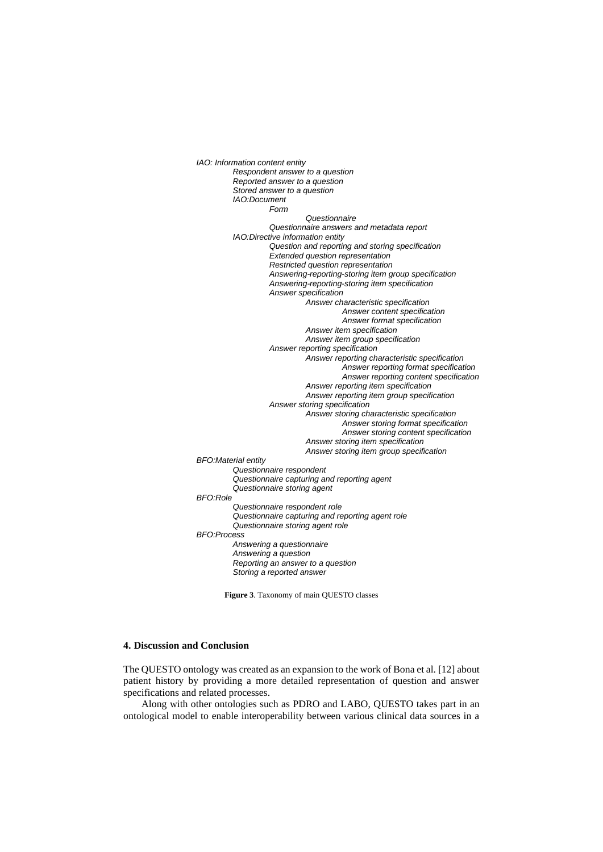*IAO: Information content entity Respondent answer to a question Reported answer to a question Stored answer to a question IAO:Document Form Questionnaire Questionnaire answers and metadata report IAO:Directive information entity Question and reporting and storing specification Extended question representation Restricted question representation Answering-reporting-storing item group specification Answering-reporting-storing item specification Answer specification Answer characteristic specification Answer content specification Answer format specification Answer item specification Answer item group specification Answer reporting specification Answer reporting characteristic specification Answer reporting format specification Answer reporting content specification Answer reporting item specification Answer reporting item group specification Answer storing specification Answer storing characteristic specification Answer storing format specification Answer storing content specification Answer storing item specification Answer storing item group specification BFO:Material entity Questionnaire respondent Questionnaire capturing and reporting agent Questionnaire storing agent BFO:Role Questionnaire respondent role Questionnaire capturing and reporting agent role Questionnaire storing agent role BFO:Process Answering a questionnaire Answering a question Reporting an answer to a question Storing a reported answer*

**Figure 3**. Taxonomy of main QUESTO classes

# **4. Discussion and Conclusion**

The QUESTO ontology was created as an expansion to the work of Bona et al. [12] about patient history by providing a more detailed representation of question and answer specifications and related processes.

Along with other ontologies such as PDRO and LABO, QUESTO takes part in an ontological model to enable interoperability between various clinical data sources in a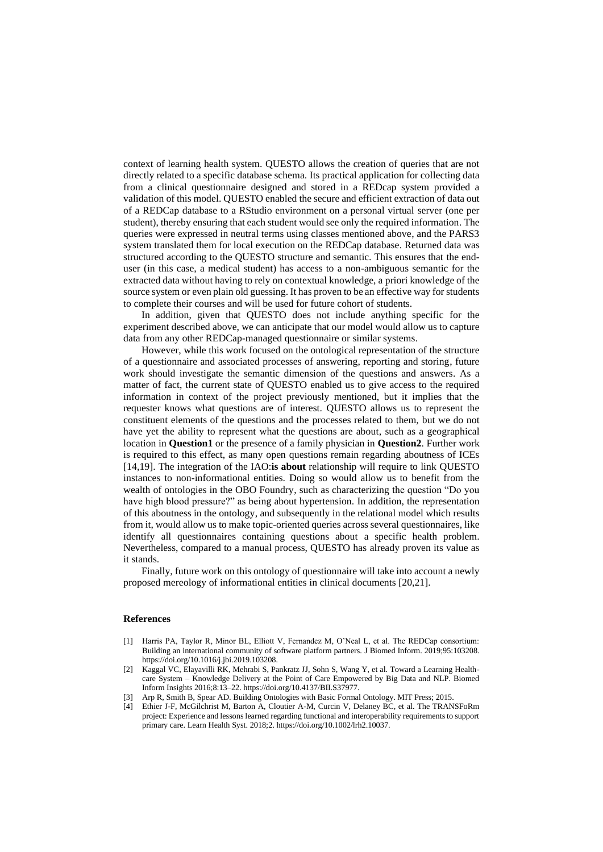context of learning health system. QUESTO allows the creation of queries that are not directly related to a specific database schema. Its practical application for collecting data from a clinical questionnaire designed and stored in a REDcap system provided a validation of this model. QUESTO enabled the secure and efficient extraction of data out of a REDCap database to a RStudio environment on a personal virtual server (one per student), thereby ensuring that each student would see only the required information. The queries were expressed in neutral terms using classes mentioned above, and the PARS3 system translated them for local execution on the REDCap database. Returned data was structured according to the QUESTO structure and semantic. This ensures that the enduser (in this case, a medical student) has access to a non-ambiguous semantic for the extracted data without having to rely on contextual knowledge, a priori knowledge of the source system or even plain old guessing. It has proven to be an effective way for students to complete their courses and will be used for future cohort of students.

In addition, given that QUESTO does not include anything specific for the experiment described above, we can anticipate that our model would allow us to capture data from any other REDCap-managed questionnaire or similar systems.

However, while this work focused on the ontological representation of the structure of a questionnaire and associated processes of answering, reporting and storing, future work should investigate the semantic dimension of the questions and answers. As a matter of fact, the current state of QUESTO enabled us to give access to the required information in context of the project previously mentioned, but it implies that the requester knows what questions are of interest. QUESTO allows us to represent the constituent elements of the questions and the processes related to them, but we do not have yet the ability to represent what the questions are about, such as a geographical location in **Question1** or the presence of a family physician in **Question2**. Further work is required to this effect, as many open questions remain regarding aboutness of ICEs [14,19]. The integration of the IAO:**is about** relationship will require to link QUESTO instances to non-informational entities. Doing so would allow us to benefit from the wealth of ontologies in the OBO Foundry, such as characterizing the question "Do you have high blood pressure?" as being about hypertension. In addition, the representation of this aboutness in the ontology, and subsequently in the relational model which results from it, would allow us to make topic-oriented queries across several questionnaires, like identify all questionnaires containing questions about a specific health problem. Nevertheless, compared to a manual process, QUESTO has already proven its value as it stands.

Finally, future work on this ontology of questionnaire will take into account a newly proposed mereology of informational entities in clinical documents [20,21].

# **References**

- [1] Harris PA, Taylor R, Minor BL, Elliott V, Fernandez M, O'Neal L, et al. The REDCap consortium: Building an international community of software platform partners. J Biomed Inform. 2019;95:103208. https://doi.org/10.1016/j.jbi.2019.103208.
- [2] Kaggal VC, Elayavilli RK, Mehrabi S, Pankratz JJ, Sohn S, Wang Y, et al. Toward a Learning Healthcare System – Knowledge Delivery at the Point of Care Empowered by Big Data and NLP. Biomed Inform Insights 2016;8:13–22. https://doi.org/10.4137/BII.S37977.
- [3] Arp R, Smith B, Spear AD. Building Ontologies with Basic Formal Ontology. MIT Press; 2015.
- [4] Ethier J-F, McGilchrist M, Barton A, Cloutier A-M, Curcin V, Delaney BC, et al. The TRANSFoRm project: Experience and lessons learned regarding functional and interoperability requirements to support primary care. Learn Health Syst. 2018;2. https://doi.org/10.1002/lrh2.10037.